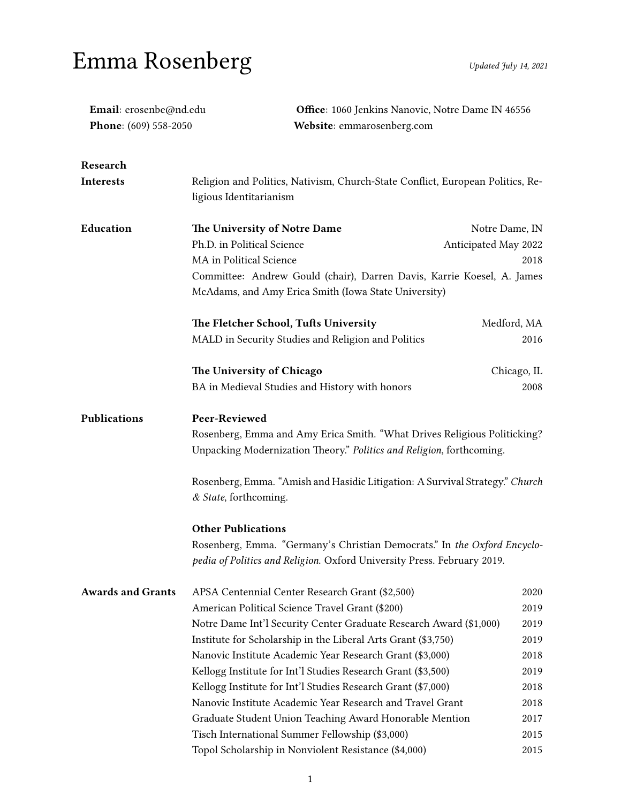## Emma Rosenberg Updated July 14, 2021

| Email: erosenbe@nd.edu   |                                                                                | Office: 1060 Jenkins Nanovic, Notre Dame IN 46556 |  |
|--------------------------|--------------------------------------------------------------------------------|---------------------------------------------------|--|
| Phone: (609) 558-2050    | Website: emmarosenberg.com                                                     |                                                   |  |
| Research                 |                                                                                |                                                   |  |
| Interests                | Religion and Politics, Nativism, Church-State Conflict, European Politics, Re- |                                                   |  |
|                          | ligious Identitarianism                                                        |                                                   |  |
| Education                | The University of Notre Dame                                                   | Notre Dame, IN                                    |  |
|                          | Ph.D. in Political Science<br>Anticipated May 2022                             |                                                   |  |
|                          | MA in Political Science                                                        | 2018                                              |  |
|                          | Committee: Andrew Gould (chair), Darren Davis, Karrie Koesel, A. James         |                                                   |  |
|                          | McAdams, and Amy Erica Smith (Iowa State University)                           |                                                   |  |
|                          | The Fletcher School, Tufts University                                          | Medford, MA                                       |  |
|                          | MALD in Security Studies and Religion and Politics                             | 2016                                              |  |
|                          | The University of Chicago                                                      | Chicago, IL                                       |  |
|                          | BA in Medieval Studies and History with honors                                 | 2008                                              |  |
| Publications             | Peer-Reviewed                                                                  |                                                   |  |
|                          | Rosenberg, Emma and Amy Erica Smith. "What Drives Religious Politicking?       |                                                   |  |
|                          | Unpacking Modernization Theory." Politics and Religion, forthcoming.           |                                                   |  |
|                          | Rosenberg, Emma. "Amish and Hasidic Litigation: A Survival Strategy." Church   |                                                   |  |
|                          | & State, forthcoming.                                                          |                                                   |  |
|                          | <b>Other Publications</b>                                                      |                                                   |  |
|                          | Rosenberg, Emma. "Germany's Christian Democrats." In the Oxford Encyclo-       |                                                   |  |
|                          | pedia of Politics and Religion. Oxford University Press. February 2019.        |                                                   |  |
| <b>Awards and Grants</b> | APSA Centennial Center Research Grant (\$2,500)                                | 2020                                              |  |
|                          | American Political Science Travel Grant (\$200)                                | 2019                                              |  |
|                          | Notre Dame Int'l Security Center Graduate Research Award (\$1,000)             | 2019                                              |  |
|                          | Institute for Scholarship in the Liberal Arts Grant (\$3,750)                  | 2019                                              |  |
|                          | Nanovic Institute Academic Year Research Grant (\$3,000)                       | 2018                                              |  |
|                          | Kellogg Institute for Int'l Studies Research Grant (\$3,500)                   | 2019                                              |  |
|                          | Kellogg Institute for Int'l Studies Research Grant (\$7,000)                   | 2018                                              |  |
|                          | Nanovic Institute Academic Year Research and Travel Grant                      | 2018                                              |  |
|                          | Graduate Student Union Teaching Award Honorable Mention                        | 2017                                              |  |
|                          | Tisch International Summer Fellowship (\$3,000)                                | 2015                                              |  |
|                          | Topol Scholarship in Nonviolent Resistance (\$4,000)                           | 2015                                              |  |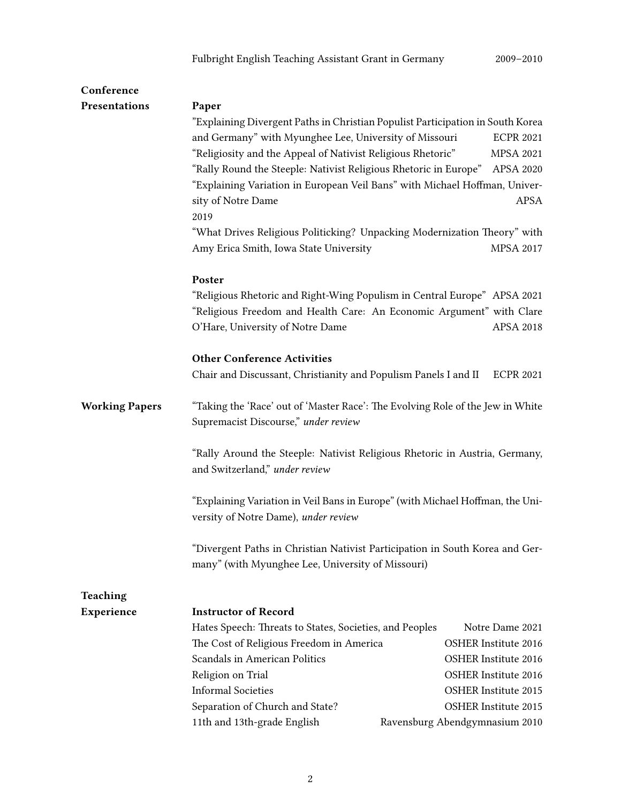| Conference            |                                                                                                                                   |                                |  |
|-----------------------|-----------------------------------------------------------------------------------------------------------------------------------|--------------------------------|--|
| Presentations         | Paper                                                                                                                             |                                |  |
|                       | "Explaining Divergent Paths in Christian Populist Participation in South Korea                                                    |                                |  |
|                       | and Germany" with Myunghee Lee, University of Missouri                                                                            | <b>ECPR 2021</b>               |  |
|                       | "Religiosity and the Appeal of Nativist Religious Rhetoric"                                                                       | <b>MPSA 2021</b>               |  |
|                       | "Rally Round the Steeple: Nativist Religious Rhetoric in Europe" APSA 2020                                                        |                                |  |
|                       | "Explaining Variation in European Veil Bans" with Michael Hoffman, Univer-                                                        |                                |  |
|                       | sity of Notre Dame                                                                                                                | <b>APSA</b>                    |  |
|                       | 2019                                                                                                                              |                                |  |
|                       | "What Drives Religious Politicking? Unpacking Modernization Theory" with                                                          |                                |  |
|                       | Amy Erica Smith, Iowa State University                                                                                            | MPSA 2017                      |  |
|                       | Poster                                                                                                                            |                                |  |
|                       | "Religious Rhetoric and Right-Wing Populism in Central Europe" APSA 2021                                                          |                                |  |
|                       | "Religious Freedom and Health Care: An Economic Argument" with Clare                                                              |                                |  |
|                       | O'Hare, University of Notre Dame                                                                                                  | <b>APSA 2018</b>               |  |
|                       | <b>Other Conference Activities</b>                                                                                                |                                |  |
|                       | Chair and Discussant, Christianity and Populism Panels I and II                                                                   | <b>ECPR 2021</b>               |  |
| <b>Working Papers</b> | "Taking the 'Race' out of 'Master Race': The Evolving Role of the Jew in White<br>Supremacist Discourse," under review            |                                |  |
|                       | "Rally Around the Steeple: Nativist Religious Rhetoric in Austria, Germany,<br>and Switzerland," under review                     |                                |  |
|                       | "Explaining Variation in Veil Bans in Europe" (with Michael Hoffman, the Uni-<br>versity of Notre Dame), under review             |                                |  |
|                       | "Divergent Paths in Christian Nativist Participation in South Korea and Ger-<br>many" (with Myunghee Lee, University of Missouri) |                                |  |
| Teaching              |                                                                                                                                   |                                |  |
| Experience            | <b>Instructor of Record</b>                                                                                                       |                                |  |
|                       | Hates Speech: Threats to States, Societies, and Peoples                                                                           | Notre Dame 2021                |  |
|                       | The Cost of Religious Freedom in America                                                                                          | <b>OSHER Institute 2016</b>    |  |
|                       | <b>Scandals in American Politics</b>                                                                                              | OSHER Institute 2016           |  |
|                       | Religion on Trial                                                                                                                 | <b>OSHER Institute 2016</b>    |  |
|                       | <b>Informal Societies</b>                                                                                                         | <b>OSHER Institute 2015</b>    |  |
|                       | Separation of Church and State?                                                                                                   | <b>OSHER Institute 2015</b>    |  |
|                       | 11th and 13th-grade English                                                                                                       | Ravensburg Abendgymnasium 2010 |  |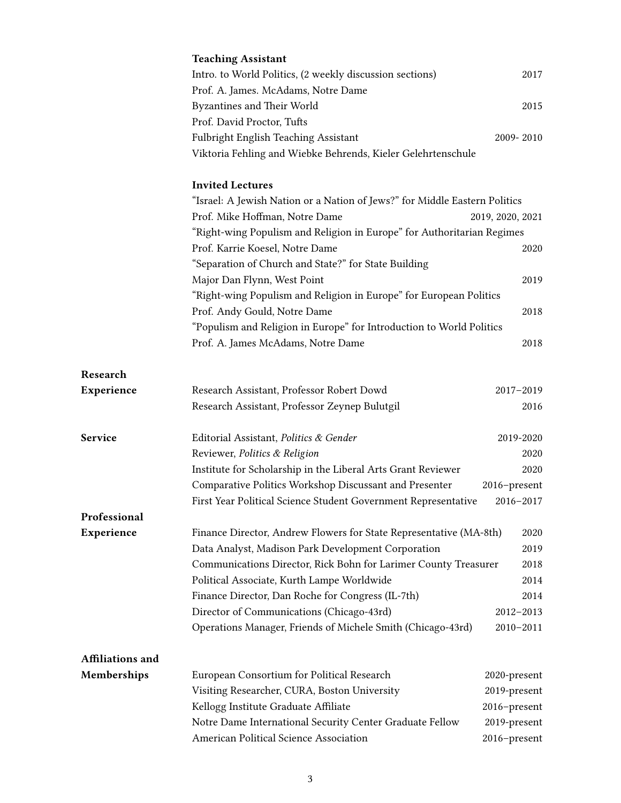|                  | <b>Teaching Assistant</b>                                                  |                  |  |
|------------------|----------------------------------------------------------------------------|------------------|--|
|                  | Intro. to World Politics, (2 weekly discussion sections)                   | 2017             |  |
|                  | Prof. A. James. McAdams, Notre Dame                                        |                  |  |
|                  | <b>Byzantines and Their World</b>                                          | 2015             |  |
|                  | Prof. David Proctor, Tufts                                                 |                  |  |
|                  | Fulbright English Teaching Assistant                                       | 2009-2010        |  |
|                  | Viktoria Fehling and Wiebke Behrends, Kieler Gelehrtenschule               |                  |  |
|                  | <b>Invited Lectures</b>                                                    |                  |  |
|                  | "Israel: A Jewish Nation or a Nation of Jews?" for Middle Eastern Politics | 2019, 2020, 2021 |  |
|                  | Prof. Mike Hoffman, Notre Dame                                             |                  |  |
|                  | "Right-wing Populism and Religion in Europe" for Authoritarian Regimes     |                  |  |
|                  | Prof. Karrie Koesel, Notre Dame                                            | 2020             |  |
|                  | "Separation of Church and State?" for State Building                       |                  |  |
|                  | Major Dan Flynn, West Point                                                | 2019             |  |
|                  | "Right-wing Populism and Religion in Europe" for European Politics         |                  |  |
|                  | Prof. Andy Gould, Notre Dame                                               | 2018             |  |
|                  | "Populism and Religion in Europe" for Introduction to World Politics       |                  |  |
|                  | Prof. A. James McAdams, Notre Dame                                         | 2018             |  |
| Research         |                                                                            |                  |  |
| Experience       | Research Assistant, Professor Robert Dowd                                  | 2017-2019        |  |
|                  | Research Assistant, Professor Zeynep Bulutgil                              | 2016             |  |
| <b>Service</b>   | Editorial Assistant, Politics & Gender                                     | 2019-2020        |  |
|                  | Reviewer, Politics & Religion                                              | 2020             |  |
|                  | Institute for Scholarship in the Liberal Arts Grant Reviewer               | 2020             |  |
|                  | Comparative Politics Workshop Discussant and Presenter                     | 2016-present     |  |
|                  | First Year Political Science Student Government Representative             | 2016-2017        |  |
| Professional     |                                                                            |                  |  |
| Experience       | Finance Director, Andrew Flowers for State Representative (MA-8th)         | 2020             |  |
|                  | Data Analyst, Madison Park Development Corporation                         | 2019             |  |
|                  | Communications Director, Rick Bohn for Larimer County Treasurer            | 2018             |  |
|                  | Political Associate, Kurth Lampe Worldwide                                 | 2014             |  |
|                  | Finance Director, Dan Roche for Congress (IL-7th)                          | 2014             |  |
|                  | Director of Communications (Chicago-43rd)                                  | $2012 - 2013$    |  |
|                  | Operations Manager, Friends of Michele Smith (Chicago-43rd)                | $2010 - 2011$    |  |
| Affiliations and |                                                                            |                  |  |
| Memberships      | European Consortium for Political Research                                 | 2020-present     |  |
|                  | Visiting Researcher, CURA, Boston University                               | 2019-present     |  |
|                  | Kellogg Institute Graduate Affiliate                                       | 2016-present     |  |
|                  | Notre Dame International Security Center Graduate Fellow                   | 2019-present     |  |
|                  | American Political Science Association                                     | 2016-present     |  |